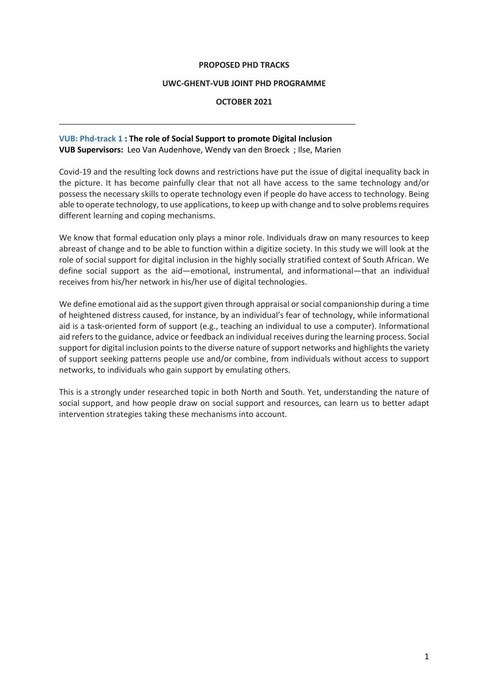#### **PROPOSED PHD TRACKS**

#### **UWC-GHENT-VUB JOINT PHD PROGRAMME**

#### **OCTOBER 2021**

## **VUB: Phd-track 1 : The role of Social Support to promote Digital Inclusion VUB Supervisors:** Leo Van Audenhove, Wendy van den Broeck ; Ilse, Marien

\_\_\_\_\_\_\_\_\_\_\_\_\_\_\_\_\_\_\_\_\_\_\_\_\_\_\_\_\_\_\_\_\_\_\_\_\_\_\_\_\_\_\_\_\_\_\_\_\_\_\_\_\_\_\_\_\_\_\_\_\_\_\_\_\_\_

Covid-19 and the resulting lock downs and restrictions have put the issue of digital inequality back in the picture. It has become painfully clear that not all have access to the same technology and/or possess the necessary skills to operate technology even if people do have access to technology. Being able to operate technology, to use applications, to keep up with change and to solve problems requires different learning and coping mechanisms.

We know that formal education only plays a minor role. Individuals draw on many resources to keep abreast of change and to be able to function within a digitize society. In this study we will look at the role of social support for digital inclusion in the highly socially stratified context of South African. We define social support as the aid—emotional, instrumental, and informational—that an individual receives from his/her network in his/her use of digital technologies.

We define emotional aid as the support given through appraisal or social companionship during a time of heightened distress caused, for instance, by an individual's fear of technology, while informational aid is a task-oriented form of support (e.g., teaching an individual to use a computer). Informational aid refers to the guidance, advice or feedback an individual receives during the learning process. Social support for digital inclusion points to the diverse nature of support networks and highlights the variety of support seeking patterns people use and/or combine, from individuals without access to support networks, to individuals who gain support by emulating others.

This is a strongly under researched topic in both North and South. Yet, understanding the nature of social support, and how people draw on social support and resources, can learn us to better adapt intervention strategies taking these mechanisms into account.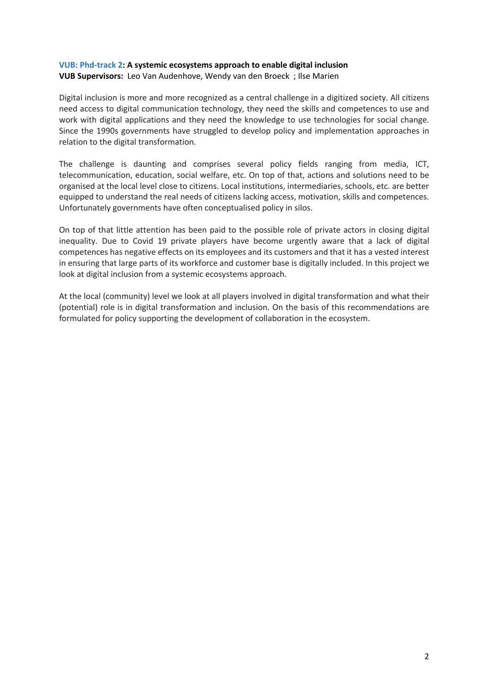## **VUB: Phd-track 2: A systemic ecosystems approach to enable digital inclusion**

**VUB Supervisors:** Leo Van Audenhove, Wendy van den Broeck ; Ilse Marien

Digital inclusion is more and more recognized as a central challenge in a digitized society. All citizens need access to digital communication technology, they need the skills and competences to use and work with digital applications and they need the knowledge to use technologies for social change. Since the 1990s governments have struggled to develop policy and implementation approaches in relation to the digital transformation.

The challenge is daunting and comprises several policy fields ranging from media, ICT, telecommunication, education, social welfare, etc. On top of that, actions and solutions need to be organised at the local level close to citizens. Local institutions, intermediaries, schools, etc. are better equipped to understand the real needs of citizens lacking access, motivation, skills and competences. Unfortunately governments have often conceptualised policy in silos.

On top of that little attention has been paid to the possible role of private actors in closing digital inequality. Due to Covid 19 private players have become urgently aware that a lack of digital competences has negative effects on its employees and its customers and that it has a vested interest in ensuring that large parts of its workforce and customer base is digitally included. In this project we look at digital inclusion from a systemic ecosystems approach.

At the local (community) level we look at all players involved in digital transformation and what their (potential) role is in digital transformation and inclusion. On the basis of this recommendations are formulated for policy supporting the development of collaboration in the ecosystem.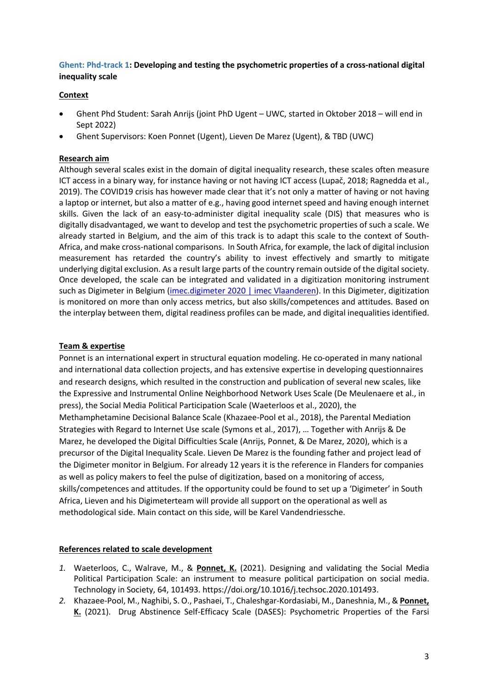# **Ghent: Phd-track 1: Developing and testing the psychometric properties of a cross-national digital inequality scale**

## **Context**

- Ghent Phd Student: Sarah Anrijs (joint PhD Ugent UWC, started in Oktober 2018 will end in Sept 2022)
- Ghent Supervisors: Koen Ponnet (Ugent), Lieven De Marez (Ugent), & TBD (UWC)

## **Research aim**

Although several scales exist in the domain of digital inequality research, these scales often measure ICT access in a binary way, for instance having or not having ICT access (Lupač, 2018; Ragnedda et al., 2019). The COVID19 crisis has however made clear that it's not only a matter of having or not having a laptop or internet, but also a matter of e.g., having good internet speed and having enough internet skills. Given the lack of an easy-to-administer digital inequality scale (DIS) that measures who is digitally disadvantaged, we want to develop and test the psychometric properties of such a scale. We already started in Belgium, and the aim of this track is to adapt this scale to the context of South-Africa, and make cross-national comparisons. In South Africa, for example, the lack of digital inclusion measurement has retarded the country's ability to invest effectively and smartly to mitigate underlying digital exclusion. As a result large parts of the country remain outside of the digital society. Once developed, the scale can be integrated and validated in a digitization monitoring instrument such as Digimeter in Belgium (imec.digimeter 2020 | imec Vlaanderen). In this Digimeter, digitization is monitored on more than only access metrics, but also skills/competences and attitudes. Based on the interplay between them, digital readiness profiles can be made, and digital inequalities identified.

# **Team & expertise**

Ponnet is an international expert in structural equation modeling. He co-operated in many national and international data collection projects, and has extensive expertise in developing questionnaires and research designs, which resulted in the construction and publication of several new scales, like the Expressive and Instrumental Online Neighborhood Network Uses Scale (De Meulenaere et al., in press), the Social Media Political Participation Scale (Waeterloos et al., 2020), the Methamphetamine Decisional Balance Scale (Khazaee-Pool et al., 2018), the Parental Mediation Strategies with Regard to Internet Use scale (Symons et al., 2017), … Together with Anrijs & De Marez, he developed the Digital Difficulties Scale (Anrijs, Ponnet, & De Marez, 2020), which is a precursor of the Digital Inequality Scale. Lieven De Marez is the founding father and project lead of the Digimeter monitor in Belgium. For already 12 years it is the reference in Flanders for companies as well as policy makers to feel the pulse of digitization, based on a monitoring of access, skills/competences and attitudes. If the opportunity could be found to set up a 'Digimeter' in South Africa, Lieven and his Digimeterteam will provide all support on the operational as well as methodological side. Main contact on this side, will be Karel Vandendriessche.

#### **References related to scale development**

- *1.* Waeterloos, C., Walrave, M., & **Ponnet, K.** (2021). Designing and validating the Social Media Political Participation Scale: an instrument to measure political participation on social media. Technology in Society, 64, 101493. https://doi.org/10.1016/j.techsoc.2020.101493.
- *2.* Khazaee-Pool, M., Naghibi, S. O., Pashaei, T., Chaleshgar-Kordasiabi, M., Daneshnia, M., & **Ponnet, K.** (2021). Drug Abstinence Self-Efficacy Scale (DASES): Psychometric Properties of the Farsi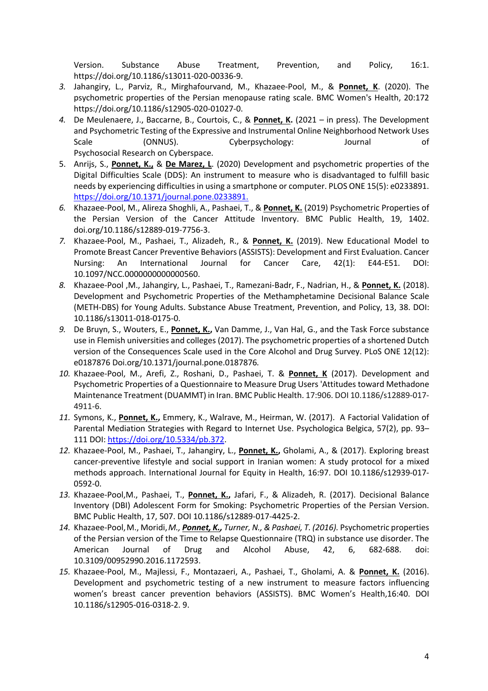Version. Substance Abuse Treatment, Prevention, and Policy, 16:1. https://doi.org/10.1186/s13011-020-00336-9.

- *3.* Jahangiry, L., Parviz, R., Mirghafourvand, M., Khazaee-Pool, M., & **Ponnet, K**. (2020). The psychometric properties of the Persian menopause rating scale. BMC Women's Health, 20:172 https://doi.org/10.1186/s12905-020-01027-0.
- *4.* De Meulenaere, J., Baccarne, B., Courtois, C., & **Ponnet, K.** (2021 in press). The Development and Psychometric Testing of the Expressive and Instrumental Online Neighborhood Network Uses Scale (ONNUS). Cyberpsychology: Journal of Psychosocial Research on Cyberspace.
- 5. Anrijs, S., **Ponnet, K.,** & **De Marez, L**. (2020) Development and psychometric properties of the Digital Difficulties Scale (DDS): An instrument to measure who is disadvantaged to fulfill basic needs by experiencing difficulties in using a smartphone or computer. PLOS ONE 15(5): e0233891. https://doi.org/10.1371/journal.pone.0233891.
- *6.* Khazaee-Pool, M., Alireza Shoghli, A., Pashaei, T., & **Ponnet, K.** (2019) Psychometric Properties of the Persian Version of the Cancer Attitude Inventory. BMC Public Health, 19, 1402. doi.org/10.1186/s12889-019-7756-3.
- *7.* Khazaee-Pool, M., Pashaei, T., Alizadeh, R., & **Ponnet, K.** (2019). New Educational Model to Promote Breast Cancer Preventive Behaviors (ASSISTS): Development and First Evaluation. Cancer Nursing: An International Journal for Cancer Care, 42(1): E44-E51. DOI: 10.1097/NCC.0000000000000560.
- *8.* Khazaee-Pool ,M., Jahangiry, L., Pashaei, T., Ramezani-Badr, F., Nadrian, H., & **Ponnet, K.** (2018). Development and Psychometric Properties of the Methamphetamine Decisional Balance Scale (METH-DBS) for Young Adults. Substance Abuse Treatment, Prevention, and Policy, 13, 38. DOI: 10.1186/s13011-018-0175-0.
- *9.* De Bruyn, S., Wouters, E., **Ponnet, K.,** Van Damme, J., Van Hal, G., and the Task Force substance use in Flemish universities and colleges (2017). The psychometric properties of a shortened Dutch version of the Consequences Scale used in the Core Alcohol and Drug Survey. PLoS ONE 12(12): e0187876 Doi.org/10.1371/journal.pone.0187876*.*
- *10.* Khazaee-Pool, M., Arefi, Z., Roshani, D., Pashaei, T. & **Ponnet, K** (2017). Development and Psychometric Properties of a Questionnaire to Measure Drug Users 'Attitudes toward Methadone Maintenance Treatment (DUAMMT) in Iran. BMC Public Health. 17:906. DOI 10.1186/s12889-017- 4911-6.
- *11.* Symons, K., **Ponnet, K.,** Emmery, K., Walrave, M., Heirman, W. (2017). A Factorial Validation of Parental Mediation Strategies with Regard to Internet Use. Psychologica Belgica, 57(2), pp. 93– 111 DOI: https://doi.org/10.5334/pb.372.
- *12.* Khazaee-Pool, M., Pashaei, T., Jahangiry, L., **Ponnet, K.,** Gholami, A., & (2017). Exploring breast cancer-preventive lifestyle and social support in Iranian women: A study protocol for a mixed methods approach. International Journal for Equity in Health, 16:97. DOI 10.1186/s12939-017- 0592-0.
- *13.* Khazaee-Pool,M., Pashaei, T., **Ponnet, K.,** Jafari, F., & Alizadeh, R. (2017). Decisional Balance Inventory (DBI) Adolescent Form for Smoking: Psychometric Properties of the Persian Version. BMC Public Health, 17, 507. DOI 10.1186/s12889-017-4425-2.
- *14.* Khazaee-Pool,M., Moridi,*M., Ponnet, K., Turner, N., & Pashaei, T. (2016).* Psychometric properties of the Persian version of the Time to Relapse Questionnaire (TRQ) in substance use disorder. The American Journal of Drug and Alcohol Abuse, 42, 6, 682-688. doi: 10.3109/00952990.2016.1172593.
- *15.* Khazaee-Pool, M., Majlessi, F., Montazaeri, A., Pashaei, T., Gholami, A. & **Ponnet, K.** (2016). Development and psychometric testing of a new instrument to measure factors influencing women's breast cancer prevention behaviors (ASSISTS). BMC Women's Health,16:40. DOI 10.1186/s12905-016-0318-2. 9.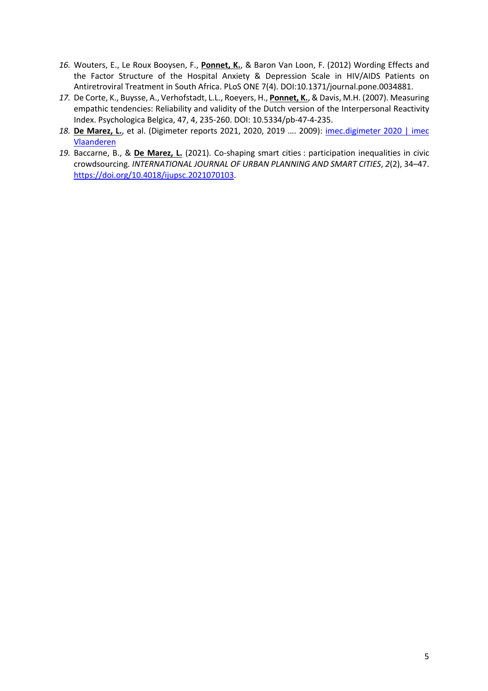- *16.* Wouters, E., Le Roux Booysen, F., **Ponnet, K.**, & Baron Van Loon, F. (2012) Wording Effects and the Factor Structure of the Hospital Anxiety & Depression Scale in HIV/AIDS Patients on Antiretroviral Treatment in South Africa. PLoS ONE 7(4). DOI:10.1371/journal.pone.0034881.
- *17.* De Corte, K., Buysse, A., Verhofstadt, L.L., Roeyers, H., **Ponnet, K.**, & Davis, M.H. (2007). Measuring empathic tendencies: Reliability and validity of the Dutch version of the Interpersonal Reactivity Index. Psychologica Belgica, 47, 4, 235-260. DOI: 10.5334/pb-47-4-235.
- *18.* **De Marez, L.**, et al. (Digimeter reports 2021, 2020, 2019 …. 2009): imec.digimeter 2020 | imec Vlaanderen
- *19.* Baccarne, B., & **De Marez, L.** (2021). Co-shaping smart cities : participation inequalities in civic crowdsourcing. *INTERNATIONAL JOURNAL OF URBAN PLANNING AND SMART CITIES*, *2*(2), 34–47. https://doi.org/10.4018/ijupsc.2021070103.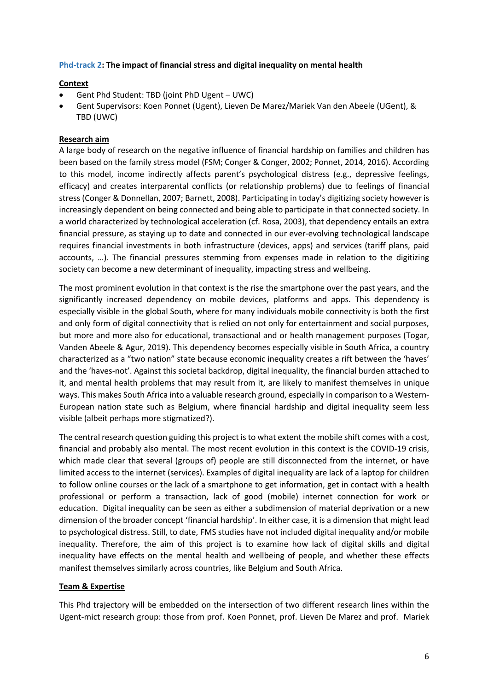## **Phd-track 2: The impact of financial stress and digital inequality on mental health**

## **Context**

- Gent Phd Student: TBD (joint PhD Ugent UWC)
- Gent Supervisors: Koen Ponnet (Ugent), Lieven De Marez/Mariek Van den Abeele (UGent), & TBD (UWC)

## **Research aim**

A large body of research on the negative influence of financial hardship on families and children has been based on the family stress model (FSM; Conger & Conger, 2002; Ponnet, 2014, 2016). According to this model, income indirectly affects parent's psychological distress (e.g., depressive feelings, efficacy) and creates interparental conflicts (or relationship problems) due to feelings of financial stress (Conger & Donnellan, 2007; Barnett, 2008). Participating in today's digitizing society however is increasingly dependent on being connected and being able to participate in that connected society. In a world characterized by technological acceleration (cf. Rosa, 2003), that dependency entails an extra financial pressure, as staying up to date and connected in our ever-evolving technological landscape requires financial investments in both infrastructure (devices, apps) and services (tariff plans, paid accounts, …). The financial pressures stemming from expenses made in relation to the digitizing society can become a new determinant of inequality, impacting stress and wellbeing.

The most prominent evolution in that context is the rise the smartphone over the past years, and the significantly increased dependency on mobile devices, platforms and apps. This dependency is especially visible in the global South, where for many individuals mobile connectivity is both the first and only form of digital connectivity that is relied on not only for entertainment and social purposes, but more and more also for educational, transactional and or health management purposes (Togar, Vanden Abeele & Agur, 2019). This dependency becomes especially visible in South Africa, a country characterized as a "two nation" state because economic inequality creates a rift between the 'haves' and the 'haves-not'. Against this societal backdrop, digital inequality, the financial burden attached to it, and mental health problems that may result from it, are likely to manifest themselves in unique ways. This makes South Africa into a valuable research ground, especially in comparison to a Western-European nation state such as Belgium, where financial hardship and digital inequality seem less visible (albeit perhaps more stigmatized?).

The central research question guiding this project is to what extent the mobile shift comes with a cost, financial and probably also mental. The most recent evolution in this context is the COVID-19 crisis, which made clear that several (groups of) people are still disconnected from the internet, or have limited access to the internet (services). Examples of digital inequality are lack of a laptop for children to follow online courses or the lack of a smartphone to get information, get in contact with a health professional or perform a transaction, lack of good (mobile) internet connection for work or education. Digital inequality can be seen as either a subdimension of material deprivation or a new dimension of the broader concept 'financial hardship'. In either case, it is a dimension that might lead to psychological distress. Still, to date, FMS studies have not included digital inequality and/or mobile inequality. Therefore, the aim of this project is to examine how lack of digital skills and digital inequality have effects on the mental health and wellbeing of people, and whether these effects manifest themselves similarly across countries, like Belgium and South Africa.

#### **Team & Expertise**

This Phd trajectory will be embedded on the intersection of two different research lines within the Ugent-mict research group: those from prof. Koen Ponnet, prof. Lieven De Marez and prof. Mariek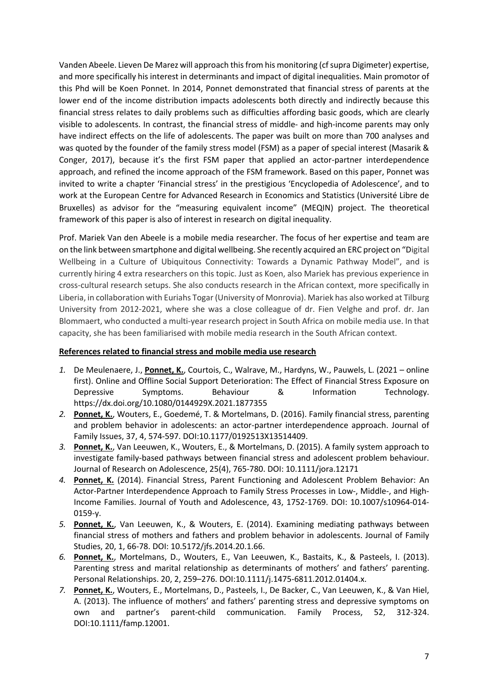Vanden Abeele. Lieven De Marez will approach this from his monitoring (cf supra Digimeter) expertise, and more specifically his interest in determinants and impact of digital inequalities. Main promotor of this Phd will be Koen Ponnet. In 2014, Ponnet demonstrated that financial stress of parents at the lower end of the income distribution impacts adolescents both directly and indirectly because this financial stress relates to daily problems such as difficulties affording basic goods, which are clearly visible to adolescents. In contrast, the financial stress of middle- and high-income parents may only have indirect effects on the life of adolescents. The paper was built on more than 700 analyses and was quoted by the founder of the family stress model (FSM) as a paper of special interest (Masarik & Conger, 2017), because it's the first FSM paper that applied an actor-partner interdependence approach, and refined the income approach of the FSM framework. Based on this paper, Ponnet was invited to write a chapter 'Financial stress' in the prestigious 'Encyclopedia of Adolescence', and to work at the European Centre for Advanced Research in Economics and Statistics (Université Libre de Bruxelles) as advisor for the "measuring equivalent income" (MEQIN) project. The theoretical framework of this paper is also of interest in research on digital inequality.

Prof. Mariek Van den Abeele is a mobile media researcher. The focus of her expertise and team are on the link between smartphone and digital wellbeing. She recently acquired an ERC project on "Digital Wellbeing in a Culture of Ubiquitous Connectivity: Towards a Dynamic Pathway Model", and is currently hiring 4 extra researchers on this topic. Just as Koen, also Mariek has previous experience in cross-cultural research setups. She also conducts research in the African context, more specifically in Liberia, in collaboration with Euriahs Togar (University of Monrovia). Mariek has also worked at Tilburg University from 2012-2021, where she was a close colleague of dr. Fien Velghe and prof. dr. Jan Blommaert, who conducted a multi-year research project in South Africa on mobile media use. In that capacity, she has been familiarised with mobile media research in the South African context.

# **References related to financial stress and mobile media use research**

- *1.* De Meulenaere, J., **Ponnet, K.**, Courtois, C., Walrave, M., Hardyns, W., Pauwels, L. (2021 online first). Online and Offline Social Support Deterioration: The Effect of Financial Stress Exposure on Depressive Symptoms. Behaviour & Information Technology. https://dx.doi.org/10.1080/0144929X.2021.1877355
- *2.* **Ponnet, K.**, Wouters, E., Goedemé, T. & Mortelmans, D. (2016). Family financial stress, parenting and problem behavior in adolescents: an actor-partner interdependence approach. Journal of Family Issues, 37, 4, 574-597. DOI:10.1177/0192513X13514409.
- *3.* **Ponnet, K.**, Van Leeuwen, K., Wouters, E., & Mortelmans, D. (2015). A family system approach to investigate family-based pathways between financial stress and adolescent problem behaviour. Journal of Research on Adolescence, 25(4), 765-780. DOI: 10.1111/jora.12171
- *4.* **Ponnet, K.** (2014). Financial Stress, Parent Functioning and Adolescent Problem Behavior: An Actor-Partner Interdependence Approach to Family Stress Processes in Low-, Middle-, and High-Income Families. Journal of Youth and Adolescence, 43, 1752-1769. DOI: 10.1007/s10964-014- 0159-y.
- *5.* **Ponnet, K.**, Van Leeuwen, K., & Wouters, E. (2014). Examining mediating pathways between financial stress of mothers and fathers and problem behavior in adolescents. Journal of Family Studies, 20, 1, 66-78. DOI: 10.5172/jfs.2014.20.1.66.
- *6.* **Ponnet, K.**, Mortelmans, D., Wouters, E., Van Leeuwen, K., Bastaits, K., & Pasteels, I. (2013). Parenting stress and marital relationship as determinants of mothers' and fathers' parenting. Personal Relationships. 20, 2, 259–276. DOI:10.1111/j.1475-6811.2012.01404.x.
- *7.* **Ponnet, K.**, Wouters, E., Mortelmans, D., Pasteels, I., De Backer, C., Van Leeuwen, K., & Van Hiel, A. (2013). The influence of mothers' and fathers' parenting stress and depressive symptoms on own and partner's parent-child communication. Family Process, 52, 312-324. DOI:10.1111/famp.12001.